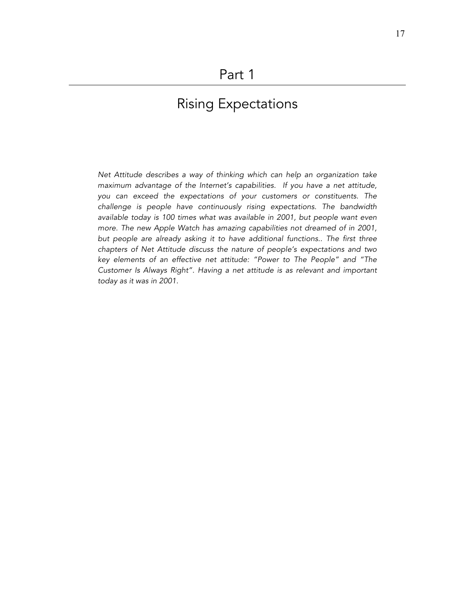# Rising Expectations

*Net Attitude describes a way of thinking which can help an organization take maximum advantage of the Internet's capabilities. If you have a net attitude, you can exceed the expectations of your customers or constituents. The challenge is people have continuously rising expectations. The bandwidth available today is 100 times what was available in 2001, but people want even more. The new Apple Watch has amazing capabilities not dreamed of in 2001, but people are already asking it to have additional functions.. The first three chapters of Net Attitude discuss the nature of people's expectations and two key elements of an effective net attitude: "Power to The People" and "The Customer Is Always Right". Having a net attitude is as relevant and important today as it was in 2001.*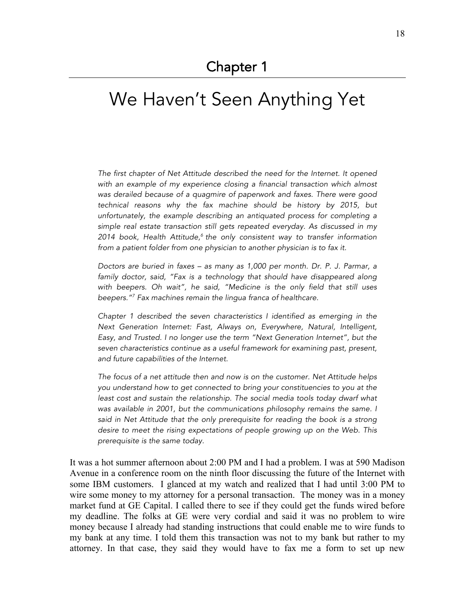# We Haven't Seen Anything Yet

*The first chapter of Net Attitude described the need for the Internet. It opened with an example of my experience closing a financial transaction which almost was derailed because of a quagmire of paperwork and faxes. There were good technical reasons why the fax machine should be history by 2015, but unfortunately, the example describing an antiquated process for completing a simple real estate transaction still gets repeated everyday. As discussed in my 2014 book, Health Attitude, <sup>6</sup> the only consistent way to transfer information from a patient folder from one physician to another physician is to fax it.*

*Doctors are buried in faxes – as many as 1,000 per month. Dr. P. J. Parmar, a family doctor, said, "Fax is a technology that should have disappeared along with beepers. Oh wait", he said, "Medicine is the only field that still uses beepers."7 Fax machines remain the lingua franca of healthcare.*

*Chapter 1 described the seven characteristics I identified as emerging in the Next Generation Internet: Fast, Always on, Everywhere, Natural, Intelligent, Easy, and Trusted. I no longer use the term "Next Generation Internet", but the seven characteristics continue as a useful framework for examining past, present, and future capabilities of the Internet.*

*The focus of a net attitude then and now is on the customer. Net Attitude helps you understand how to get connected to bring your constituencies to you at the least cost and sustain the relationship. The social media tools today dwarf what was available in 2001, but the communications philosophy remains the same. I said in Net Attitude that the only prerequisite for reading the book is a strong desire to meet the rising expectations of people growing up on the Web. This prerequisite is the same today.*

It was a hot summer afternoon about 2:00 PM and I had a problem. I was at 590 Madison Avenue in a conference room on the ninth floor discussing the future of the Internet with some IBM customers. I glanced at my watch and realized that I had until 3:00 PM to wire some money to my attorney for a personal transaction. The money was in a money market fund at GE Capital. I called there to see if they could get the funds wired before my deadline. The folks at GE were very cordial and said it was no problem to wire money because I already had standing instructions that could enable me to wire funds to my bank at any time. I told them this transaction was not to my bank but rather to my attorney. In that case, they said they would have to fax me a form to set up new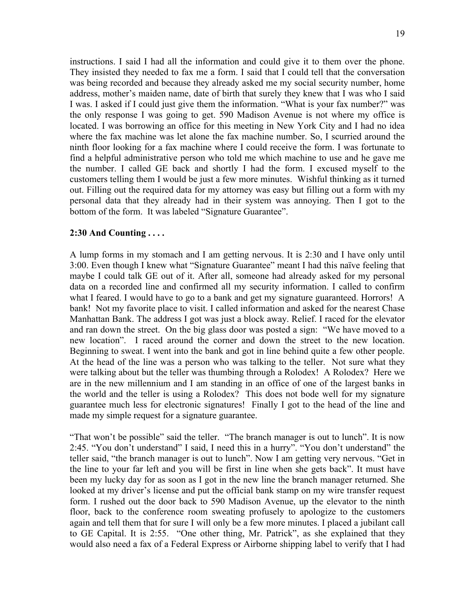instructions. I said I had all the information and could give it to them over the phone. They insisted they needed to fax me a form. I said that I could tell that the conversation was being recorded and because they already asked me my social security number, home address, mother's maiden name, date of birth that surely they knew that I was who I said I was. I asked if I could just give them the information. "What is your fax number?" was the only response I was going to get. 590 Madison Avenue is not where my office is located. I was borrowing an office for this meeting in New York City and I had no idea where the fax machine was let alone the fax machine number. So, I scurried around the ninth floor looking for a fax machine where I could receive the form. I was fortunate to find a helpful administrative person who told me which machine to use and he gave me the number. I called GE back and shortly I had the form. I excused myself to the customers telling them I would be just a few more minutes. Wishful thinking as it turned out. Filling out the required data for my attorney was easy but filling out a form with my personal data that they already had in their system was annoying. Then I got to the bottom of the form. It was labeled "Signature Guarantee".

#### **2:30 And Counting . . . .**

A lump forms in my stomach and I am getting nervous. It is 2:30 and I have only until 3:00. Even though I knew what "Signature Guarantee" meant I had this naïve feeling that maybe I could talk GE out of it. After all, someone had already asked for my personal data on a recorded line and confirmed all my security information. I called to confirm what I feared. I would have to go to a bank and get my signature guaranteed. Horrors! A bank! Not my favorite place to visit. I called information and asked for the nearest Chase Manhattan Bank. The address I got was just a block away. Relief. I raced for the elevator and ran down the street. On the big glass door was posted a sign: "We have moved to a new location". I raced around the corner and down the street to the new location. Beginning to sweat. I went into the bank and got in line behind quite a few other people. At the head of the line was a person who was talking to the teller. Not sure what they were talking about but the teller was thumbing through a Rolodex! A Rolodex? Here we are in the new millennium and I am standing in an office of one of the largest banks in the world and the teller is using a Rolodex? This does not bode well for my signature guarantee much less for electronic signatures! Finally I got to the head of the line and made my simple request for a signature guarantee.

"That won't be possible" said the teller. "The branch manager is out to lunch". It is now 2:45. "You don't understand" I said, I need this in a hurry". "You don't understand" the teller said, "the branch manager is out to lunch". Now I am getting very nervous. "Get in the line to your far left and you will be first in line when she gets back". It must have been my lucky day for as soon as I got in the new line the branch manager returned. She looked at my driver's license and put the official bank stamp on my wire transfer request form. I rushed out the door back to 590 Madison Avenue, up the elevator to the ninth floor, back to the conference room sweating profusely to apologize to the customers again and tell them that for sure I will only be a few more minutes. I placed a jubilant call to GE Capital. It is 2:55. "One other thing, Mr. Patrick", as she explained that they would also need a fax of a Federal Express or Airborne shipping label to verify that I had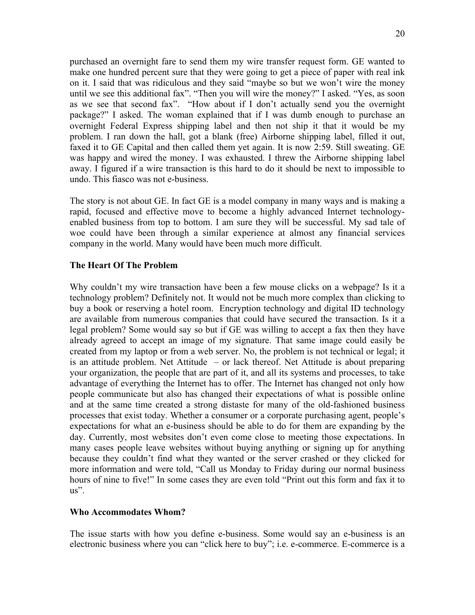purchased an overnight fare to send them my wire transfer request form. GE wanted to make one hundred percent sure that they were going to get a piece of paper with real ink on it. I said that was ridiculous and they said "maybe so but we won't wire the money until we see this additional fax". "Then you will wire the money?" I asked. "Yes, as soon as we see that second fax". "How about if I don't actually send you the overnight package?" I asked. The woman explained that if I was dumb enough to purchase an overnight Federal Express shipping label and then not ship it that it would be my problem. I ran down the hall, got a blank (free) Airborne shipping label, filled it out, faxed it to GE Capital and then called them yet again. It is now 2:59. Still sweating. GE was happy and wired the money. I was exhausted. I threw the Airborne shipping label away. I figured if a wire transaction is this hard to do it should be next to impossible to undo. This fiasco was not e-business.

The story is not about GE. In fact GE is a model company in many ways and is making a rapid, focused and effective move to become a highly advanced Internet technologyenabled business from top to bottom. I am sure they will be successful. My sad tale of woe could have been through a similar experience at almost any financial services company in the world. Many would have been much more difficult.

#### **The Heart Of The Problem**

Why couldn't my wire transaction have been a few mouse clicks on a webpage? Is it a technology problem? Definitely not. It would not be much more complex than clicking to buy a book or reserving a hotel room. Encryption technology and digital ID technology are available from numerous companies that could have secured the transaction. Is it a legal problem? Some would say so but if GE was willing to accept a fax then they have already agreed to accept an image of my signature. That same image could easily be created from my laptop or from a web server. No, the problem is not technical or legal; it is an attitude problem. Net Attitude – or lack thereof. Net Attitude is about preparing your organization, the people that are part of it, and all its systems and processes, to take advantage of everything the Internet has to offer. The Internet has changed not only how people communicate but also has changed their expectations of what is possible online and at the same time created a strong distaste for many of the old-fashioned business processes that exist today. Whether a consumer or a corporate purchasing agent, people's expectations for what an e-business should be able to do for them are expanding by the day. Currently, most websites don't even come close to meeting those expectations. In many cases people leave websites without buying anything or signing up for anything because they couldn't find what they wanted or the server crashed or they clicked for more information and were told, "Call us Monday to Friday during our normal business hours of nine to five!" In some cases they are even told "Print out this form and fax it to us".

#### **Who Accommodates Whom?**

The issue starts with how you define e-business. Some would say an e-business is an electronic business where you can "click here to buy"; i.e. e-commerce. E-commerce is a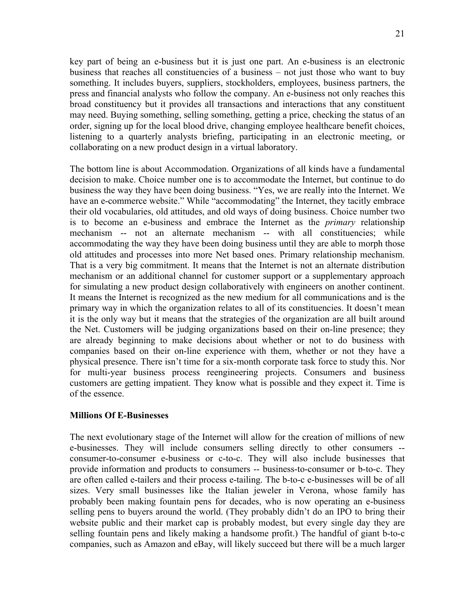key part of being an e-business but it is just one part. An e-business is an electronic business that reaches all constituencies of a business – not just those who want to buy something. It includes buyers, suppliers, stockholders, employees, business partners, the press and financial analysts who follow the company. An e-business not only reaches this broad constituency but it provides all transactions and interactions that any constituent may need. Buying something, selling something, getting a price, checking the status of an order, signing up for the local blood drive, changing employee healthcare benefit choices, listening to a quarterly analysts briefing, participating in an electronic meeting, or collaborating on a new product design in a virtual laboratory.

The bottom line is about Accommodation. Organizations of all kinds have a fundamental decision to make. Choice number one is to accommodate the Internet, but continue to do business the way they have been doing business. "Yes, we are really into the Internet. We have an e-commerce website." While "accommodating" the Internet, they tacitly embrace their old vocabularies, old attitudes, and old ways of doing business. Choice number two is to become an e-business and embrace the Internet as the *primary* relationship mechanism -- not an alternate mechanism -- with all constituencies; while accommodating the way they have been doing business until they are able to morph those old attitudes and processes into more Net based ones. Primary relationship mechanism. That is a very big commitment. It means that the Internet is not an alternate distribution mechanism or an additional channel for customer support or a supplementary approach for simulating a new product design collaboratively with engineers on another continent. It means the Internet is recognized as the new medium for all communications and is the primary way in which the organization relates to all of its constituencies. It doesn't mean it is the only way but it means that the strategies of the organization are all built around the Net. Customers will be judging organizations based on their on-line presence; they are already beginning to make decisions about whether or not to do business with companies based on their on-line experience with them, whether or not they have a physical presence. There isn't time for a six-month corporate task force to study this. Nor for multi-year business process reengineering projects. Consumers and business customers are getting impatient. They know what is possible and they expect it. Time is of the essence.

#### **Millions Of E-Businesses**

The next evolutionary stage of the Internet will allow for the creation of millions of new e-businesses. They will include consumers selling directly to other consumers - consumer-to-consumer e-business or c-to-c. They will also include businesses that provide information and products to consumers -- business-to-consumer or b-to-c. They are often called e-tailers and their process e-tailing. The b-to-c e-businesses will be of all sizes. Very small businesses like the Italian jeweler in Verona, whose family has probably been making fountain pens for decades, who is now operating an e-business selling pens to buyers around the world. (They probably didn't do an IPO to bring their website public and their market cap is probably modest, but every single day they are selling fountain pens and likely making a handsome profit.) The handful of giant b-to-c companies, such as Amazon and eBay, will likely succeed but there will be a much larger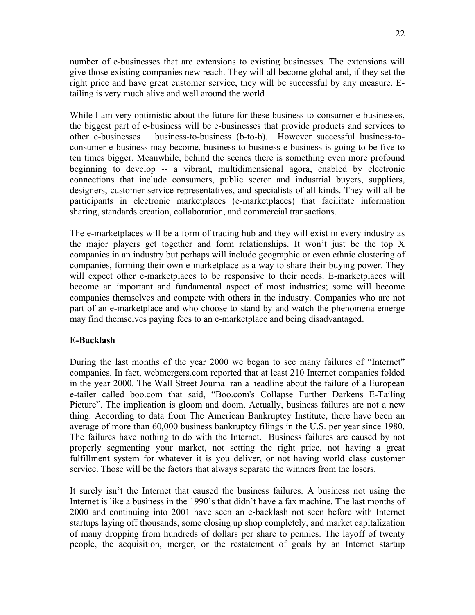number of e-businesses that are extensions to existing businesses. The extensions will give those existing companies new reach. They will all become global and, if they set the right price and have great customer service, they will be successful by any measure. Etailing is very much alive and well around the world

While I am very optimistic about the future for these business-to-consumer e-businesses, the biggest part of e-business will be e-businesses that provide products and services to other e-businesses – business-to-business (b-to-b). However successful business-toconsumer e-business may become, business-to-business e-business is going to be five to ten times bigger. Meanwhile, behind the scenes there is something even more profound beginning to develop -- a vibrant, multidimensional agora, enabled by electronic connections that include consumers, public sector and industrial buyers, suppliers, designers, customer service representatives, and specialists of all kinds. They will all be participants in electronic marketplaces (e-marketplaces) that facilitate information sharing, standards creation, collaboration, and commercial transactions.

The e-marketplaces will be a form of trading hub and they will exist in every industry as the major players get together and form relationships. It won't just be the top X companies in an industry but perhaps will include geographic or even ethnic clustering of companies, forming their own e-marketplace as a way to share their buying power. They will expect other e-marketplaces to be responsive to their needs. E-marketplaces will become an important and fundamental aspect of most industries; some will become companies themselves and compete with others in the industry. Companies who are not part of an e-marketplace and who choose to stand by and watch the phenomena emerge may find themselves paying fees to an e-marketplace and being disadvantaged.

# **E-Backlash**

During the last months of the year 2000 we began to see many failures of "Internet" companies. In fact, webmergers.com reported that at least 210 Internet companies folded in the year 2000. The Wall Street Journal ran a headline about the failure of a European e-tailer called boo.com that said, "Boo.com's Collapse Further Darkens E-Tailing Picture". The implication is gloom and doom. Actually, business failures are not a new thing. According to data from The American Bankruptcy Institute, there have been an average of more than 60,000 business bankruptcy filings in the U.S. per year since 1980. The failures have nothing to do with the Internet. Business failures are caused by not properly segmenting your market, not setting the right price, not having a great fulfillment system for whatever it is you deliver, or not having world class customer service. Those will be the factors that always separate the winners from the losers.

It surely isn't the Internet that caused the business failures. A business not using the Internet is like a business in the 1990's that didn't have a fax machine. The last months of 2000 and continuing into 2001 have seen an e-backlash not seen before with Internet startups laying off thousands, some closing up shop completely, and market capitalization of many dropping from hundreds of dollars per share to pennies. The layoff of twenty people, the acquisition, merger, or the restatement of goals by an Internet startup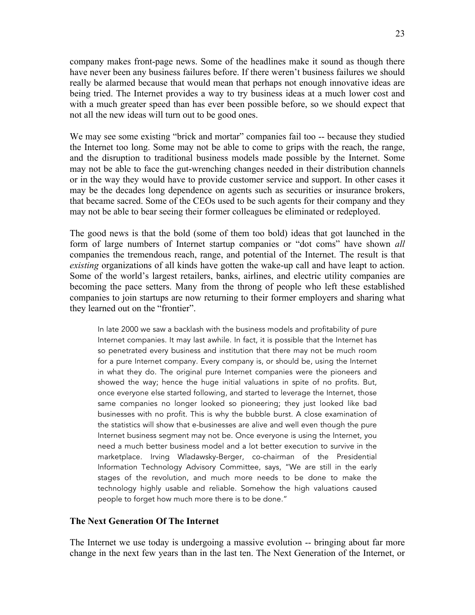company makes front-page news. Some of the headlines make it sound as though there have never been any business failures before. If there weren't business failures we should really be alarmed because that would mean that perhaps not enough innovative ideas are being tried. The Internet provides a way to try business ideas at a much lower cost and with a much greater speed than has ever been possible before, so we should expect that not all the new ideas will turn out to be good ones.

We may see some existing "brick and mortar" companies fail too -- because they studied the Internet too long. Some may not be able to come to grips with the reach, the range, and the disruption to traditional business models made possible by the Internet. Some may not be able to face the gut-wrenching changes needed in their distribution channels or in the way they would have to provide customer service and support. In other cases it may be the decades long dependence on agents such as securities or insurance brokers, that became sacred. Some of the CEOs used to be such agents for their company and they may not be able to bear seeing their former colleagues be eliminated or redeployed.

The good news is that the bold (some of them too bold) ideas that got launched in the form of large numbers of Internet startup companies or "dot coms" have shown *all* companies the tremendous reach, range, and potential of the Internet. The result is that *existing* organizations of all kinds have gotten the wake-up call and have leapt to action. Some of the world's largest retailers, banks, airlines, and electric utility companies are becoming the pace setters. Many from the throng of people who left these established companies to join startups are now returning to their former employers and sharing what they learned out on the "frontier".

In late 2000 we saw a backlash with the business models and profitability of pure Internet companies. It may last awhile. In fact, it is possible that the Internet has so penetrated every business and institution that there may not be much room for a pure Internet company. Every company is, or should be, using the Internet in what they do. The original pure Internet companies were the pioneers and showed the way; hence the huge initial valuations in spite of no profits. But, once everyone else started following, and started to leverage the Internet, those same companies no longer looked so pioneering; they just looked like bad businesses with no profit. This is why the bubble burst. A close examination of the statistics will show that e-businesses are alive and well even though the pure Internet business segment may not be. Once everyone is using the Internet, you need a much better business model and a lot better execution to survive in the marketplace. Irving Wladawsky-Berger, co-chairman of the Presidential Information Technology Advisory Committee, says, "We are still in the early stages of the revolution, and much more needs to be done to make the technology highly usable and reliable. Somehow the high valuations caused people to forget how much more there is to be done."

### **The Next Generation Of The Internet**

The Internet we use today is undergoing a massive evolution -- bringing about far more change in the next few years than in the last ten. The Next Generation of the Internet, or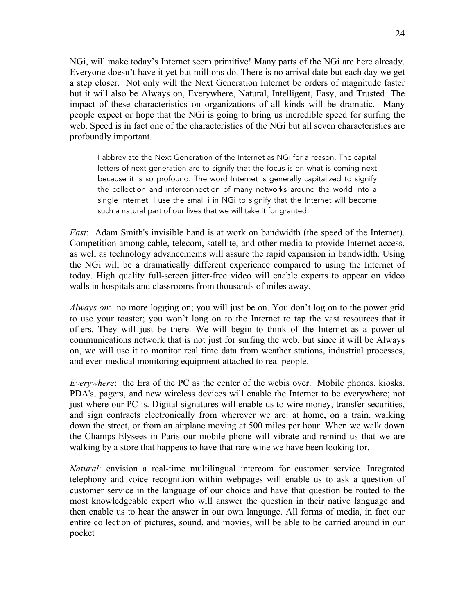NGi, will make today's Internet seem primitive! Many parts of the NGi are here already. Everyone doesn't have it yet but millions do. There is no arrival date but each day we get a step closer. Not only will the Next Generation Internet be orders of magnitude faster but it will also be Always on, Everywhere, Natural, Intelligent, Easy, and Trusted. The impact of these characteristics on organizations of all kinds will be dramatic. Many people expect or hope that the NGi is going to bring us incredible speed for surfing the web. Speed is in fact one of the characteristics of the NGi but all seven characteristics are profoundly important.

I abbreviate the Next Generation of the Internet as NGi for a reason. The capital letters of next generation are to signify that the focus is on what is coming next because it is so profound. The word Internet is generally capitalized to signify the collection and interconnection of many networks around the world into a single Internet. I use the small i in NGi to signify that the Internet will become such a natural part of our lives that we will take it for granted.

*Fast*: Adam Smith's invisible hand is at work on bandwidth (the speed of the Internet). Competition among cable, telecom, satellite, and other media to provide Internet access, as well as technology advancements will assure the rapid expansion in bandwidth. Using the NGi will be a dramatically different experience compared to using the Internet of today. High quality full-screen jitter-free video will enable experts to appear on video walls in hospitals and classrooms from thousands of miles away.

*Always on*: no more logging on; you will just be on. You don't log on to the power grid to use your toaster; you won't long on to the Internet to tap the vast resources that it offers. They will just be there. We will begin to think of the Internet as a powerful communications network that is not just for surfing the web, but since it will be Always on, we will use it to monitor real time data from weather stations, industrial processes, and even medical monitoring equipment attached to real people.

*Everywhere*: the Era of the PC as the center of the webis over. Mobile phones, kiosks, PDA's, pagers, and new wireless devices will enable the Internet to be everywhere; not just where our PC is. Digital signatures will enable us to wire money, transfer securities, and sign contracts electronically from wherever we are: at home, on a train, walking down the street, or from an airplane moving at 500 miles per hour. When we walk down the Champs-Elysees in Paris our mobile phone will vibrate and remind us that we are walking by a store that happens to have that rare wine we have been looking for.

*Natural*: envision a real-time multilingual intercom for customer service. Integrated telephony and voice recognition within webpages will enable us to ask a question of customer service in the language of our choice and have that question be routed to the most knowledgeable expert who will answer the question in their native language and then enable us to hear the answer in our own language. All forms of media, in fact our entire collection of pictures, sound, and movies, will be able to be carried around in our pocket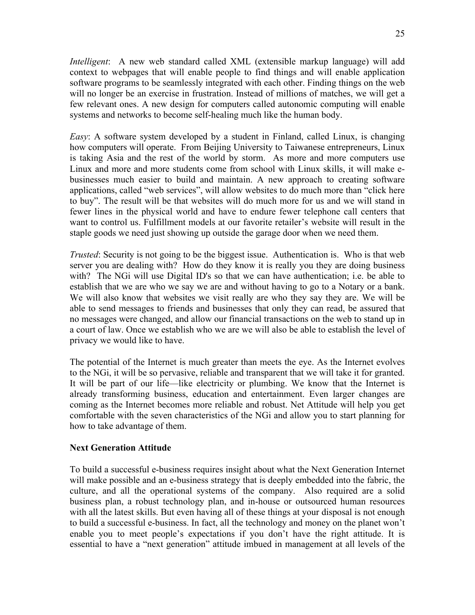*Intelligent*: A new web standard called XML (extensible markup language) will add context to webpages that will enable people to find things and will enable application software programs to be seamlessly integrated with each other. Finding things on the web will no longer be an exercise in frustration. Instead of millions of matches, we will get a few relevant ones. A new design for computers called autonomic computing will enable systems and networks to become self-healing much like the human body.

*Easy*: A software system developed by a student in Finland, called Linux, is changing how computers will operate. From Beijing University to Taiwanese entrepreneurs, Linux is taking Asia and the rest of the world by storm. As more and more computers use Linux and more and more students come from school with Linux skills, it will make ebusinesses much easier to build and maintain. A new approach to creating software applications, called "web services", will allow websites to do much more than "click here to buy". The result will be that websites will do much more for us and we will stand in fewer lines in the physical world and have to endure fewer telephone call centers that want to control us. Fulfillment models at our favorite retailer's website will result in the staple goods we need just showing up outside the garage door when we need them.

*Trusted*: Security is not going to be the biggest issue. Authentication is. Who is that web server you are dealing with? How do they know it is really you they are doing business with? The NG i will use Digital ID's so that we can have authentication; i.e. be able to establish that we are who we say we are and without having to go to a Notary or a bank. We will also know that websites we visit really are who they say they are. We will be able to send messages to friends and businesses that only they can read, be assured that no messages were changed, and allow our financial transactions on the web to stand up in a court of law. Once we establish who we are we will also be able to establish the level of privacy we would like to have.

The potential of the Internet is much greater than meets the eye. As the Internet evolves to the NGi, it will be so pervasive, reliable and transparent that we will take it for granted. It will be part of our life—like electricity or plumbing. We know that the Internet is already transforming business, education and entertainment. Even larger changes are coming as the Internet becomes more reliable and robust. Net Attitude will help you get comfortable with the seven characteristics of the NGi and allow you to start planning for how to take advantage of them.

# **Next Generation Attitude**

To build a successful e-business requires insight about what the Next Generation Internet will make possible and an e-business strategy that is deeply embedded into the fabric, the culture, and all the operational systems of the company. Also required are a solid business plan, a robust technology plan, and in-house or outsourced human resources with all the latest skills. But even having all of these things at your disposal is not enough to build a successful e-business. In fact, all the technology and money on the planet won't enable you to meet people's expectations if you don't have the right attitude. It is essential to have a "next generation" attitude imbued in management at all levels of the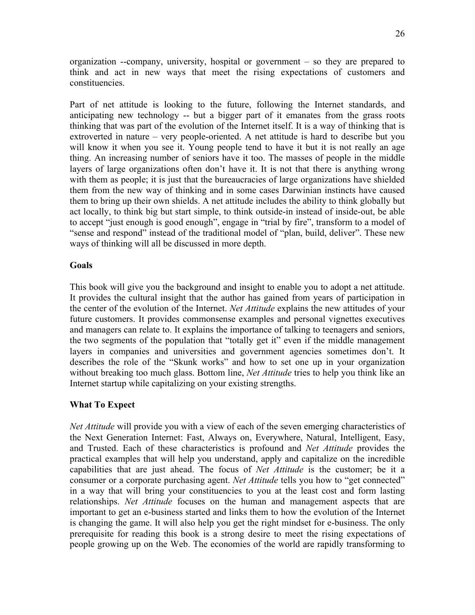organization --company, university, hospital or government – so they are prepared to think and act in new ways that meet the rising expectations of customers and constituencies.

Part of net attitude is looking to the future, following the Internet standards, and anticipating new technology -- but a bigger part of it emanates from the grass roots thinking that was part of the evolution of the Internet itself. It is a way of thinking that is extroverted in nature – very people-oriented. A net attitude is hard to describe but you will know it when you see it. Young people tend to have it but it is not really an age thing. An increasing number of seniors have it too. The masses of people in the middle layers of large organizations often don't have it. It is not that there is anything wrong with them as people; it is just that the bureaucracies of large organizations have shielded them from the new way of thinking and in some cases Darwinian instincts have caused them to bring up their own shields. A net attitude includes the ability to think globally but act locally, to think big but start simple, to think outside-in instead of inside-out, be able to accept "just enough is good enough", engage in "trial by fire", transform to a model of "sense and respond" instead of the traditional model of "plan, build, deliver". These new ways of thinking will all be discussed in more depth.

# **Goals**

This book will give you the background and insight to enable you to adopt a net attitude. It provides the cultural insight that the author has gained from years of participation in the center of the evolution of the Internet. *Net Attitude* explains the new attitudes of your future customers. It provides commonsense examples and personal vignettes executives and managers can relate to. It explains the importance of talking to teenagers and seniors, the two segments of the population that "totally get it" even if the middle management layers in companies and universities and government agencies sometimes don't. It describes the role of the "Skunk works" and how to set one up in your organization without breaking too much glass. Bottom line, *Net Attitude* tries to help you think like an Internet startup while capitalizing on your existing strengths.

# **What To Expect**

*Net Attitude* will provide you with a view of each of the seven emerging characteristics of the Next Generation Internet: Fast, Always on, Everywhere, Natural, Intelligent, Easy, and Trusted. Each of these characteristics is profound and *Net Attitude* provides the practical examples that will help you understand, apply and capitalize on the incredible capabilities that are just ahead. The focus of *Net Attitude* is the customer; be it a consumer or a corporate purchasing agent. *Net Attitude* tells you how to "get connected" in a way that will bring your constituencies to you at the least cost and form lasting relationships. *Net Attitude* focuses on the human and management aspects that are important to get an e-business started and links them to how the evolution of the Internet is changing the game. It will also help you get the right mindset for e-business. The only prerequisite for reading this book is a strong desire to meet the rising expectations of people growing up on the Web. The economies of the world are rapidly transforming to